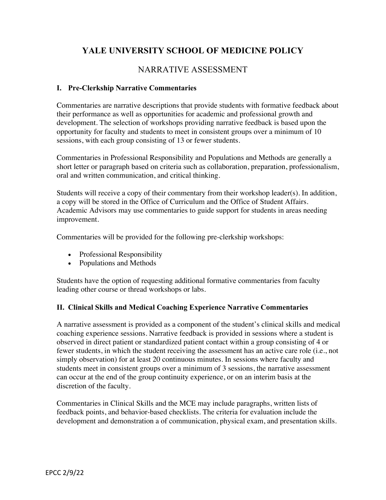# **YALE UNIVERSITY SCHOOL OF MEDICINE POLICY**

## NARRATIVE ASSESSMENT

#### **I. Pre-Clerkship Narrative Commentaries**

Commentaries are narrative descriptions that provide students with formative feedback about their performance as well as opportunities for academic and professional growth and development. The selection of workshops providing narrative feedback is based upon the opportunity for faculty and students to meet in consistent groups over a minimum of 10 sessions, with each group consisting of 13 or fewer students.

Commentaries in Professional Responsibility and Populations and Methods are generally a short letter or paragraph based on criteria such as collaboration, preparation, professionalism, oral and written communication, and critical thinking.

Students will receive a copy of their commentary from their workshop leader(s). In addition, a copy will be stored in the Office of Curriculum and the Office of Student Affairs. Academic Advisors may use commentaries to guide support for students in areas needing improvement.

Commentaries will be provided for the following pre-clerkship workshops:

- Professional Responsibility
- Populations and Methods

Students have the option of requesting additional formative commentaries from faculty leading other course or thread workshops or labs.

### **II. Clinical Skills and Medical Coaching Experience Narrative Commentaries**

A narrative assessment is provided as a component of the student's clinical skills and medical coaching experience sessions. Narrative feedback is provided in sessions where a student is observed in direct patient or standardized patient contact within a group consisting of 4 or fewer students, in which the student receiving the assessment has an active care role (i.e., not simply observation) for at least 20 continuous minutes. In sessions where faculty and students meet in consistent groups over a minimum of 3 sessions, the narrative assessment can occur at the end of the group continuity experience, or on an interim basis at the discretion of the faculty.

Commentaries in Clinical Skills and the MCE may include paragraphs, written lists of feedback points, and behavior-based checklists. The criteria for evaluation include the development and demonstration a of communication, physical exam, and presentation skills.